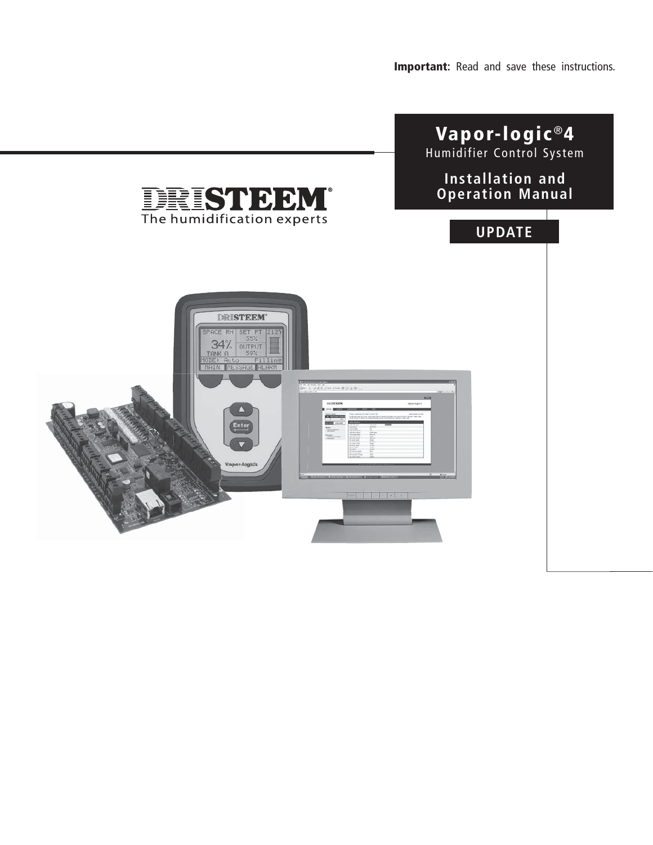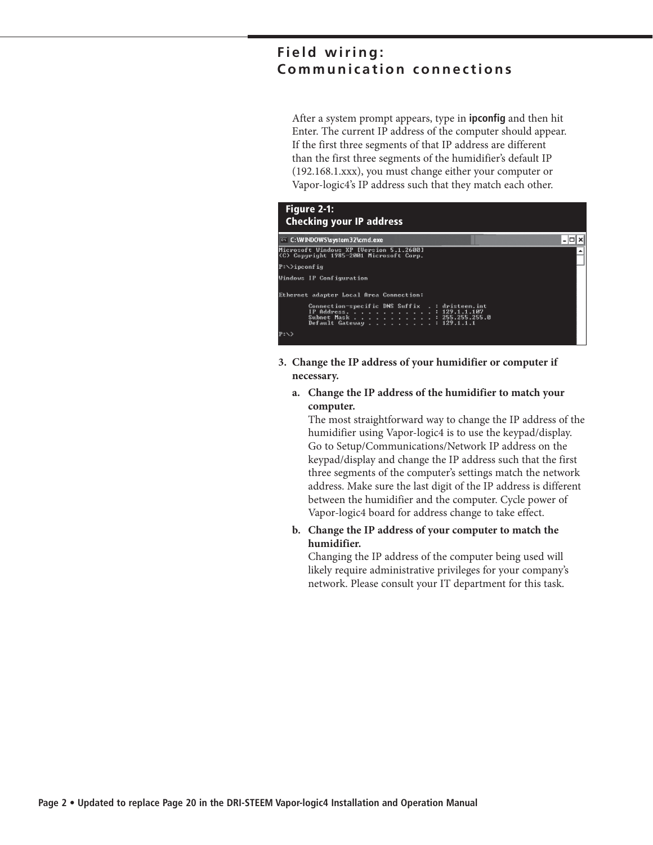### **Field wiring: Communication connections**

 After a system prompt appears, type in **ipconfig** and then hit Enter. The current IP address of the computer should appear. If the first three segments of that IP address are different than the first three segments of the humidifier's default IP (192.168.1.xxx), you must change either your computer or Vapor-logic4's IP address such that they match each other.



- **3. Change the IP address of your humidifier or computer if necessary.**
	- **a. Change the IP address of the humidifier to match your computer.**

 The most straightforward way to change the IP address of the humidifier using Vapor-logic4 is to use the keypad/display. Go to Setup/Communications/Network IP address on the keypad/display and change the IP address such that the first three segments of the computer's settings match the network address. Make sure the last digit of the IP address is different between the humidifier and the computer. Cycle power of Vapor-logic4 board for address change to take effect.

**b. Change the IP address of your computer to match the humidifier.**

 Changing the IP address of the computer being used will likely require administrative privileges for your company's network. Please consult your IT department for this task.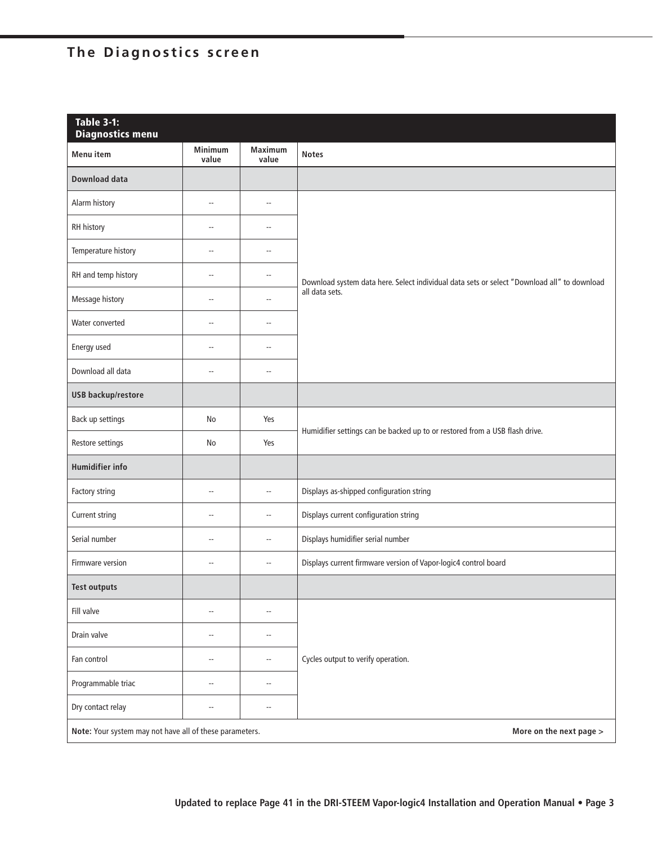# **The Diagnostics screen**

| <b>Table 3-1:</b><br><b>Diagnostics menu</b>            |                          |                          |                                                                                             |
|---------------------------------------------------------|--------------------------|--------------------------|---------------------------------------------------------------------------------------------|
| <b>Menu</b> item                                        | Minimum<br>value         | <b>Maximum</b><br>value  | <b>Notes</b>                                                                                |
| <b>Download data</b>                                    |                          |                          |                                                                                             |
| Alarm history                                           | Ξ.                       | Ξ.                       |                                                                                             |
| RH history                                              | --                       | ă.                       |                                                                                             |
| Temperature history                                     | Ξ.                       | ă.                       |                                                                                             |
| RH and temp history                                     | Щ,                       | ă.                       | Download system data here. Select individual data sets or select "Download all" to download |
| Message history                                         | u.                       | Ξ.                       | all data sets.                                                                              |
| Water converted                                         | Щ,                       | ă.                       |                                                                                             |
| Energy used                                             | u.                       | ă.                       |                                                                                             |
| Download all data                                       | Щ,                       | ă.                       |                                                                                             |
| <b>USB backup/restore</b>                               |                          |                          |                                                                                             |
| Back up settings                                        | No                       | Yes                      | Humidifier settings can be backed up to or restored from a USB flash drive.                 |
| Restore settings                                        | No                       | Yes                      |                                                                                             |
| <b>Humidifier info</b>                                  |                          |                          |                                                                                             |
| Factory string                                          | $\overline{\phantom{a}}$ | Ξ.                       | Displays as-shipped configuration string                                                    |
| Current string                                          | --                       | Ξ.                       | Displays current configuration string                                                       |
| Serial number                                           | --                       | Ξ.                       | Displays humidifier serial number                                                           |
| Firmware version                                        | $\overline{a}$           | $\overline{a}$           | Displays current firmware version of Vapor-logic4 control board                             |
| <b>Test outputs</b>                                     |                          |                          |                                                                                             |
| Fill valve                                              | $\overline{\phantom{a}}$ | $\overline{\phantom{a}}$ |                                                                                             |
| Drain valve                                             | $\overline{\phantom{a}}$ | $\overline{\phantom{a}}$ |                                                                                             |
| Fan control<br>$\overline{\phantom{a}}$                 |                          | $\overline{\phantom{a}}$ | Cycles output to verify operation.                                                          |
| Programmable triac                                      | $\overline{\phantom{a}}$ | Ξ.                       |                                                                                             |
| Dry contact relay                                       | $\overline{\phantom{a}}$ | $\overline{a}$           |                                                                                             |
| Note: Your system may not have all of these parameters. |                          |                          | More on the next page >                                                                     |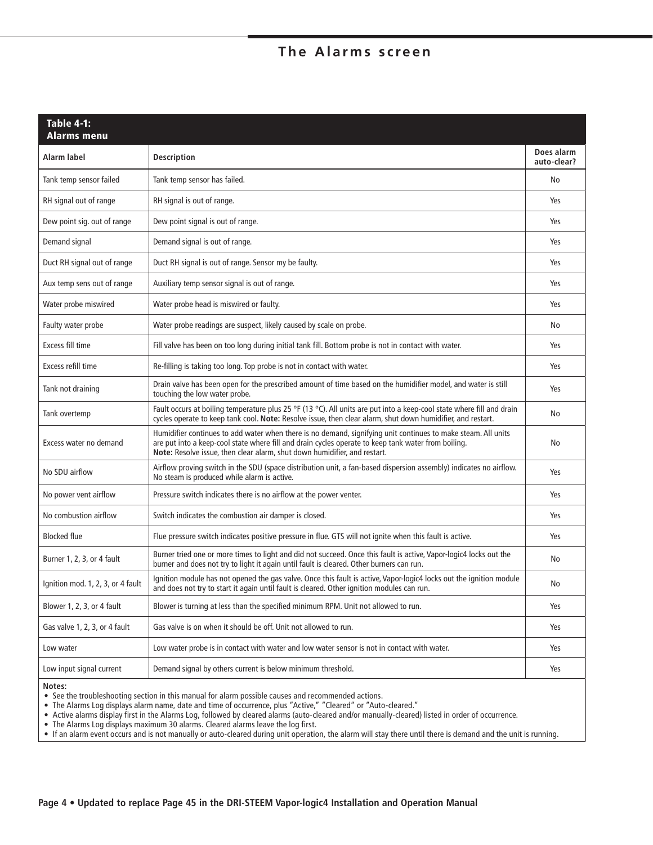## **The Alarms screen**

| <b>Table 4-1:</b><br><b>Alarms menu</b> |                                                                                                                                                                                                                                                                                                   |                           |
|-----------------------------------------|---------------------------------------------------------------------------------------------------------------------------------------------------------------------------------------------------------------------------------------------------------------------------------------------------|---------------------------|
| Alarm label                             | <b>Description</b>                                                                                                                                                                                                                                                                                | Does alarm<br>auto-clear? |
| Tank temp sensor failed                 | Tank temp sensor has failed.                                                                                                                                                                                                                                                                      | No                        |
| RH signal out of range                  | RH signal is out of range.                                                                                                                                                                                                                                                                        | Yes                       |
| Dew point sig. out of range             | Dew point signal is out of range.                                                                                                                                                                                                                                                                 | Yes                       |
| Demand signal                           | Demand signal is out of range.                                                                                                                                                                                                                                                                    | Yes                       |
| Duct RH signal out of range             | Duct RH signal is out of range. Sensor my be faulty.                                                                                                                                                                                                                                              | Yes                       |
| Aux temp sens out of range              | Auxiliary temp sensor signal is out of range.                                                                                                                                                                                                                                                     | Yes                       |
| Water probe miswired                    | Water probe head is miswired or faulty.                                                                                                                                                                                                                                                           | Yes                       |
| Faulty water probe                      | Water probe readings are suspect, likely caused by scale on probe.                                                                                                                                                                                                                                | No                        |
| <b>Excess fill time</b>                 | Fill valve has been on too long during initial tank fill. Bottom probe is not in contact with water.                                                                                                                                                                                              | Yes                       |
| Excess refill time                      | Re-filling is taking too long. Top probe is not in contact with water.                                                                                                                                                                                                                            | Yes                       |
| Tank not draining                       | Drain valve has been open for the prescribed amount of time based on the humidifier model, and water is still<br>touching the low water probe.                                                                                                                                                    | Yes                       |
| Tank overtemp                           | Fault occurs at boiling temperature plus 25 °F (13 °C). All units are put into a keep-cool state where fill and drain<br>cycles operate to keep tank cool. Note: Resolve issue, then clear alarm, shut down humidifier, and restart.                                                              | No                        |
| Excess water no demand                  | Humidifier continues to add water when there is no demand, signifying unit continues to make steam. All units<br>are put into a keep-cool state where fill and drain cycles operate to keep tank water from boiling.<br>Note: Resolve issue, then clear alarm, shut down humidifier, and restart. | No                        |
| No SDU airflow                          | Airflow proving switch in the SDU (space distribution unit, a fan-based dispersion assembly) indicates no airflow.<br>No steam is produced while alarm is active.                                                                                                                                 | Yes                       |
| No power vent airflow                   | Pressure switch indicates there is no airflow at the power venter.                                                                                                                                                                                                                                | Yes                       |
| No combustion airflow                   | Switch indicates the combustion air damper is closed.                                                                                                                                                                                                                                             | Yes                       |
| <b>Blocked flue</b>                     | Flue pressure switch indicates positive pressure in flue. GTS will not ignite when this fault is active.                                                                                                                                                                                          | Yes                       |
| Burner 1, 2, 3, or 4 fault              | Burner tried one or more times to light and did not succeed. Once this fault is active, Vapor-logic4 locks out the<br>burner and does not try to light it again until fault is cleared. Other burners can run.                                                                                    | No                        |
| Ignition mod. 1, 2, 3, or 4 fault       | Ignition module has not opened the gas valve. Once this fault is active, Vapor-logic4 locks out the ignition module<br>and does not try to start it again until fault is cleared. Other ignition modules can run.                                                                                 | No                        |
| Blower 1, 2, 3, or 4 fault              | Blower is turning at less than the specified minimum RPM. Unit not allowed to run.                                                                                                                                                                                                                | Yes                       |
| Gas valve 1, 2, 3, or 4 fault           | Gas valve is on when it should be off. Unit not allowed to run.                                                                                                                                                                                                                                   | Yes                       |
| Low water                               | Low water probe is in contact with water and low water sensor is not in contact with water.                                                                                                                                                                                                       | Yes                       |
| Low input signal current                | Demand signal by others current is below minimum threshold.                                                                                                                                                                                                                                       | Yes                       |
|                                         |                                                                                                                                                                                                                                                                                                   |                           |

**Notes:**

• See the troubleshooting section in this manual for alarm possible causes and recommended actions.

The Alarms Log displays alarm name, date and time of occurrence, plus "Active," "Cleared" or "Auto-cleared."

 $\bullet\,$  Active alarms display first in the Alarms Log, followed by cleared alarms (auto-cleared and/or manually-cleared) listed in order of occurrence.

• The Alarms Log displays maximum 30 alarms. Cleared alarms leave the log first.

• If an alarm event occurs and is not manually or auto-cleared during unit operation, the alarm will stay there until there is demand and the unit is running.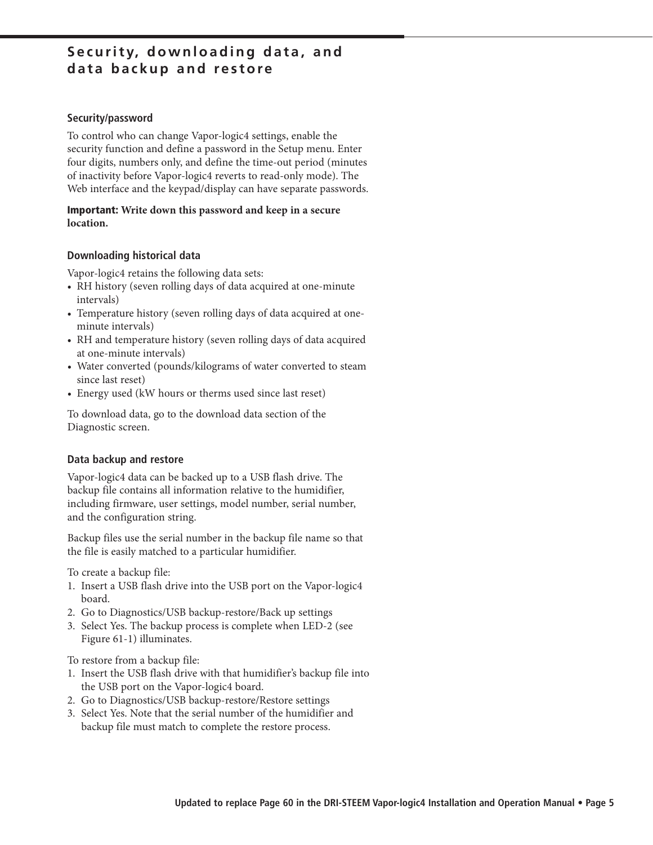### **Security, downloading data, and data backup and restore**

#### Security/password

To control who can change Vapor-logic4 settings, enable the security function and define a password in the Setup menu. Enter four digits, numbers only, and define the time-out period (minutes of inactivity before Vapor-logic4 reverts to read-only mode). The Web interface and the keypad/display can have separate passwords.

### **Important: Write down this password and keep in a secure location.**

### **Downloading historical data**

Vapor-logic4 retains the following data sets:

- RH history (seven rolling days of data acquired at one-minute intervals)
- Temperature history (seven rolling days of data acquired at oneminute intervals)
- RH and temperature history (seven rolling days of data acquired at one-minute intervals)
- Water converted (pounds/kilograms of water converted to steam since last reset)
- Energy used (kW hours or therms used since last reset)

To download data, go to the download data section of the Diagnostic screen.

### **Data backup and restore**

Vapor-logic4 data can be backed up to a USB flash drive. The backup file contains all information relative to the humidifier, including firmware, user settings, model number, serial number, and the configuration string.

Backup files use the serial number in the backup file name so that the file is easily matched to a particular humidifier.

To create a backup file:

- 1. Insert a USB flash drive into the USB port on the Vapor-logic4 board.
- 2. Go to Diagnostics/USB backup-restore/Back up settings
- 3. Select Yes. The backup process is complete when LED-2 (see Figure 61-1) illuminates.

To restore from a backup file:

- 1. Insert the USB flash drive with that humidifier's backup file into the USB port on the Vapor-logic4 board.
- 2. Go to Diagnostics/USB backup-restore/Restore settings
- 3. Select Yes. Note that the serial number of the humidifier and backup file must match to complete the restore process.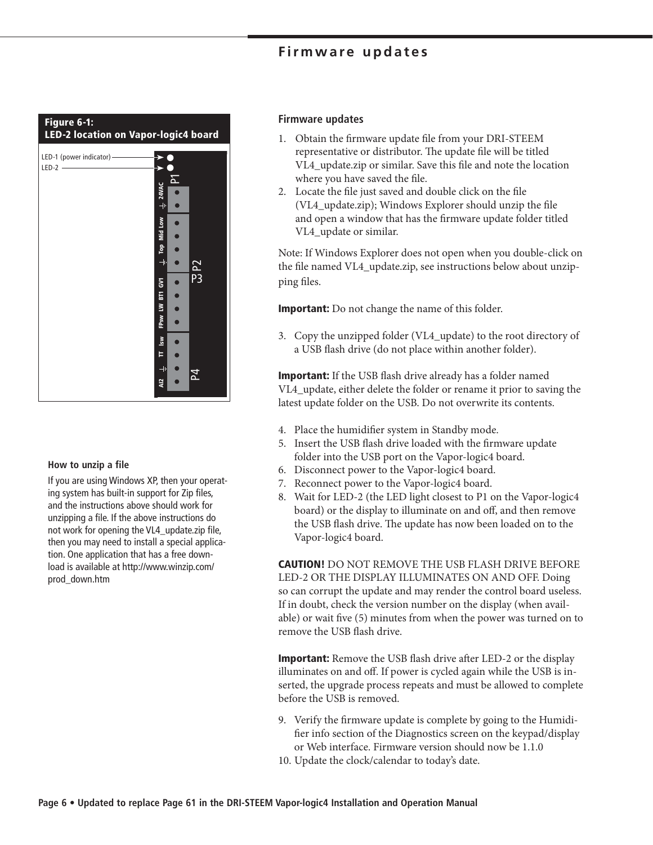### **Firmware updates**



#### **How to unzip a file**

If you are using Windows XP, then your operating system has built-in support for Zip files, and the instructions above should work for unzipping a file. If the above instructions do not work for opening the VL4\_update.zip file, then you may need to install a special application. One application that has a free download is available at http://www.winzip.com/ prod\_down.htm

#### **Firmware updates**

- 1. Obtain the firmware update file from your DRI-STEEM representative or distributor. The update file will be titled VL4\_update.zip or similar. Save this file and note the location where you have saved the file.
- 2. Locate the file just saved and double click on the file (VL4\_update.zip); Windows Explorer should unzip the file and open a window that has the firmware update folder titled VL4\_update or similar.

Note: If Windows Explorer does not open when you double-click on the file named VL4\_update.zip, see instructions below about unzipping files.

**Important:** Do not change the name of this folder.

3. Copy the unzipped folder (VL4\_update) to the root directory of a USB flash drive (do not place within another folder).

**Important:** If the USB flash drive already has a folder named VL4\_update, either delete the folder or rename it prior to saving the latest update folder on the USB. Do not overwrite its contents.

- 4. Place the humidifier system in Standby mode.
- 5. Insert the USB flash drive loaded with the firmware update folder into the USB port on the Vapor-logic4 board.
- 6. Disconnect power to the Vapor-logic4 board.
- 7. Reconnect power to the Vapor-logic4 board.
- 8. Wait for LED-2 (the LED light closest to P1 on the Vapor-logic4 board) or the display to illuminate on and off, and then remove the USB flash drive. The update has now been loaded on to the Vapor-logic4 board.

**CAUTION!** DO NOT REMOVE THE USB FLASH DRIVE BEFORE LED-2 OR THE DISPLAY ILLUMINATES ON AND OFF. Doing so can corrupt the update and may render the control board useless. If in doubt, check the version number on the display (when available) or wait five (5) minutes from when the power was turned on to remove the USB flash drive.

**Important:** Remove the USB flash drive after LED-2 or the display illuminates on and off. If power is cycled again while the USB is inserted, the upgrade process repeats and must be allowed to complete before the USB is removed.

- 9. Verify the firmware update is complete by going to the Humidifier info section of the Diagnostics screen on the keypad/display or Web interface. Firmware version should now be 1.1.0
- 10. Update the clock/calendar to today's date.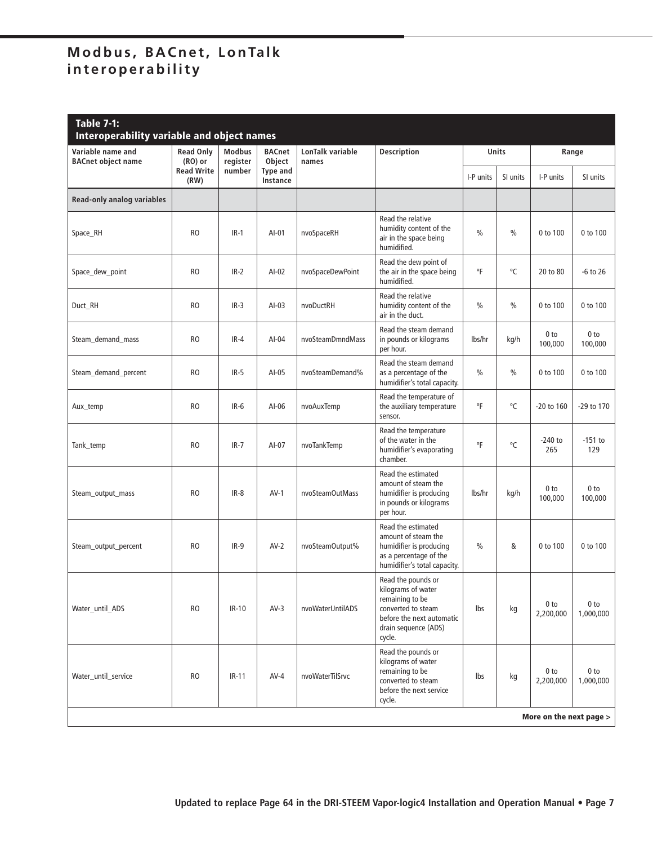| <b>Table 7-1:</b><br>Interoperability variable and object names |                               |                           |                             |                           |                                                                                                                                                  |               |               |                              |                              |
|-----------------------------------------------------------------|-------------------------------|---------------------------|-----------------------------|---------------------------|--------------------------------------------------------------------------------------------------------------------------------------------------|---------------|---------------|------------------------------|------------------------------|
| Variable name and<br><b>BACnet object name</b>                  | <b>Read Only</b><br>$(RO)$ or | <b>Modbus</b><br>register | <b>BACnet</b><br>Object     | LonTalk variable<br>names | <b>Description</b>                                                                                                                               |               | Units         |                              | Range                        |
|                                                                 | <b>Read Write</b><br>(RW)     | number                    | <b>Type and</b><br>Instance |                           |                                                                                                                                                  | I-P units     | SI units      | I-P units                    | SI units                     |
| Read-only analog variables                                      |                               |                           |                             |                           |                                                                                                                                                  |               |               |                              |                              |
| Space_RH                                                        | R <sub>O</sub>                | $IR-1$                    | AI-01                       | nvoSpaceRH                | Read the relative<br>humidity content of the<br>air in the space being<br>humidified.                                                            | $\frac{0}{0}$ | $\frac{0}{0}$ | 0 to 100                     | 0 to 100                     |
| Space_dew_point                                                 | R <sub>O</sub>                | $IR-2$                    | $AI-02$                     | nvoSpaceDewPoint          | Read the dew point of<br>the air in the space being<br>humidified.                                                                               | °F            | °C            | 20 to 80                     | $-6$ to 26                   |
| Duct_RH                                                         | RO                            | $IR-3$                    | $AI-03$                     | nvoDuctRH                 | Read the relative<br>humidity content of the<br>air in the duct.                                                                                 | $\frac{0}{0}$ | $\frac{0}{0}$ | 0 to 100                     | 0 to 100                     |
| Steam demand mass                                               | RO                            | $IR-4$                    | $AI-04$                     | nvoSteamDmndMass          | Read the steam demand<br>in pounds or kilograms<br>per hour.                                                                                     | lbs/hr        | kg/h          | 0 <sub>to</sub><br>100,000   | 0 <sub>to</sub><br>100,000   |
| Steam_demand_percent                                            | <b>RO</b>                     | $IR-5$                    | $AI-05$                     | nvoSteamDemand%           | Read the steam demand<br>as a percentage of the<br>humidifier's total capacity.                                                                  | $\frac{0}{0}$ | $\frac{0}{0}$ | 0 to 100                     | 0 to 100                     |
| Aux_temp                                                        | RO                            | $IR-6$                    | AI-06                       | nvoAuxTemp                | Read the temperature of<br>the auxiliary temperature<br>sensor.                                                                                  | °F            | °C            | -20 to 160                   | -29 to 170                   |
| Tank_temp                                                       | R <sub>O</sub>                | $IR-7$                    | AI-07                       | nvoTankTemp               | Read the temperature<br>of the water in the<br>humidifier's evaporating<br>chamber.                                                              | °F            | °C            | $-240$ to<br>265             | $-151$ to<br>129             |
| Steam_output_mass                                               | R <sub>O</sub>                | $IR-8$                    | $AV-1$                      | nvoSteamOutMass           | Read the estimated<br>amount of steam the<br>humidifier is producing<br>in pounds or kilograms<br>per hour.                                      | lbs/hr        | kg/h          | 0 <sub>to</sub><br>100,000   | 0 <sub>to</sub><br>100,000   |
| Steam_output_percent                                            | R <sub>O</sub>                | $IR-9$                    | $AV-2$                      | nvoSteamOutput%           | Read the estimated<br>amount of steam the<br>humidifier is producing<br>as a percentage of the<br>humidifier's total capacity.                   | $\%$          | &             | 0 to 100                     | 0 to 100                     |
| Water until ADS                                                 | <b>RO</b>                     | IR-10                     | $AV-3$                      | nvoWaterUntilADS          | Read the pounds or<br>kilograms of water<br>remaining to be<br>converted to steam<br>before the next automatic<br>drain sequence (ADS)<br>cycle. | lbs           | kg            | 0 <sub>to</sub><br>2,200,000 | 0 <sub>to</sub><br>1,000,000 |
| Water_until_service                                             | <b>RO</b>                     | $IR-11$                   | $AV-4$                      | nvoWaterTilSrvc           | Read the pounds or<br>kilograms of water<br>remaining to be<br>converted to steam<br>before the next service<br>cycle.                           | Ibs           | kg            | 0 <sub>to</sub><br>2,200,000 | 0 <sub>to</sub><br>1,000,000 |
|                                                                 |                               |                           |                             |                           |                                                                                                                                                  |               |               | More on the next page >      |                              |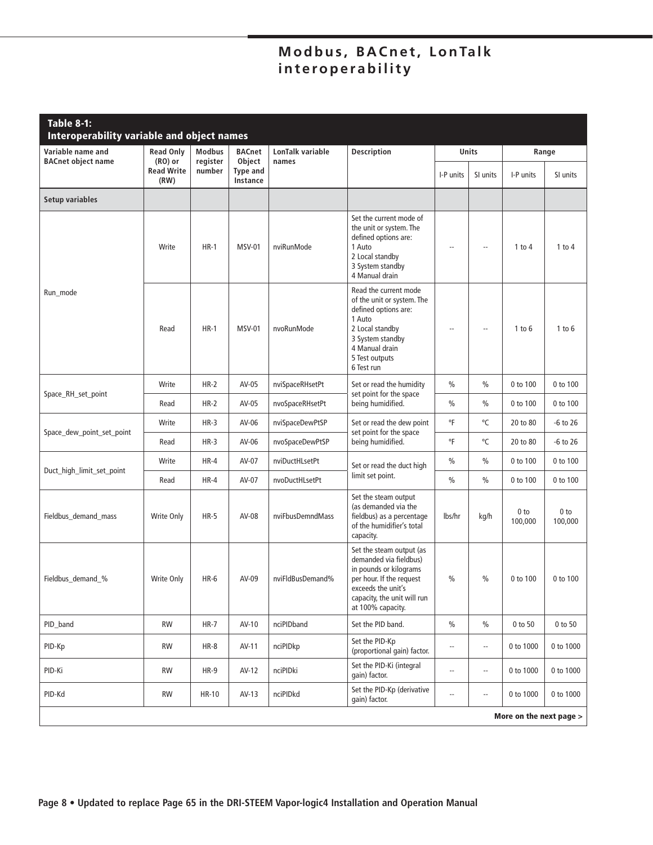| Table 8-1:<br>Interoperability variable and object names |                               |                           |                             |                           |                                                                                                                                                                                    |                          |                          |                            |                            |
|----------------------------------------------------------|-------------------------------|---------------------------|-----------------------------|---------------------------|------------------------------------------------------------------------------------------------------------------------------------------------------------------------------------|--------------------------|--------------------------|----------------------------|----------------------------|
| Variable name and<br><b>BACnet object name</b>           | <b>Read Only</b><br>$(RO)$ or | <b>Modbus</b><br>register | <b>BACnet</b><br>Object     | LonTalk variable<br>names | <b>Description</b>                                                                                                                                                                 | <b>Units</b>             |                          | Range                      |                            |
|                                                          | <b>Read Write</b><br>(RW)     | number                    | <b>Type and</b><br>Instance |                           |                                                                                                                                                                                    | I-P units                | SI units                 | I-P units                  | SI units                   |
| Setup variables                                          |                               |                           |                             |                           |                                                                                                                                                                                    |                          |                          |                            |                            |
|                                                          | Write                         | $HR-1$                    | <b>MSV-01</b>               | nviRunMode                | Set the current mode of<br>the unit or system. The<br>defined options are:<br>1 Auto<br>2 Local standby<br>3 System standby<br>4 Manual drain                                      | $\overline{a}$           | $\overline{\phantom{a}}$ | 1 to $4$                   | $1$ to $4$                 |
| Run_mode                                                 | Read                          | $HR-1$                    | <b>MSV-01</b>               | nvoRunMode                | Read the current mode<br>of the unit or system. The<br>defined options are:<br>1 Auto<br>2 Local standby<br>3 System standby<br>4 Manual drain<br>5 Test outputs<br>6 Test run     |                          | $\overline{\phantom{a}}$ | $1$ to $6$                 | $1$ to $6$                 |
| Space_RH_set_point                                       | Write                         | $HR-2$                    | AV-05                       | nviSpaceRHsetPt           | Set or read the humidity<br>set point for the space<br>being humidified.                                                                                                           | $\frac{0}{0}$            | $\frac{0}{0}$            | 0 to 100                   | 0 to 100                   |
|                                                          | Read                          | $HR-2$                    | AV-05                       | nvoSpaceRHsetPt           |                                                                                                                                                                                    | $\frac{0}{0}$            | $\frac{0}{0}$            | 0 to 100                   | 0 to 100                   |
| Space_dew_point_set_point                                | Write                         | $HR-3$                    | AV-06                       | nviSpaceDewPtSP           | Set or read the dew point<br>set point for the space                                                                                                                               | °F                       | °C                       | 20 to 80                   | $-6$ to 26                 |
|                                                          | Read                          | $HR-3$                    | AV-06                       | nvoSpaceDewPtSP           | being humidified.                                                                                                                                                                  | °F                       | °C                       | 20 to 80                   | $-6$ to 26                 |
| Duct_high_limit_set_point                                | Write                         | $HR-4$                    | AV-07                       | nviDuctHLsetPt            | Set or read the duct high<br>limit set point.                                                                                                                                      | $\%$                     | $\frac{0}{0}$            | 0 to 100                   | 0 to 100                   |
|                                                          | Read                          | $HR-4$                    | AV-07                       | nvoDuctHLsetPt            |                                                                                                                                                                                    | $\frac{0}{0}$            | $\frac{0}{0}$            | 0 to 100                   | 0 to 100                   |
| Fieldbus_demand_mass                                     | Write Only                    | $HR-5$                    | AV-08                       | nviFbusDemndMass          | Set the steam output<br>(as demanded via the<br>fieldbus) as a percentage<br>of the humidifier's total<br>capacity.                                                                | lbs/hr                   | kg/h                     | 0 <sub>to</sub><br>100,000 | 0 <sub>to</sub><br>100,000 |
| Fieldbus_demand_%                                        | Write Only                    | HR-6                      | AV-09                       | nviFldBusDemand%          | Set the steam output (as<br>demanded via fieldbus)<br>in pounds or kilograms<br>per hour. If the request<br>exceeds the unit's<br>capacity, the unit will run<br>at 100% capacity. | $\%$                     | $\%$                     | 0 to 100                   | 0 to 100                   |
| PID_band                                                 | <b>RW</b>                     | $HR-7$                    | AV-10                       | nciPIDband                | Set the PID band.                                                                                                                                                                  | $\%$                     | $\%$                     | 0 to 50                    | 0 to 50                    |
| PID-Kp                                                   | <b>RW</b>                     | $HR-8$                    | AV-11                       | nciPIDkp                  | Set the PID-Kp<br>(proportional gain) factor.                                                                                                                                      | $\overline{\phantom{a}}$ | $\overline{\phantom{a}}$ | 0 to 1000                  | 0 to 1000                  |
| PID-Ki                                                   | RW                            | $HR-9$                    | AV-12                       | nciPIDki                  | Set the PID-Ki (integral<br>gain) factor.                                                                                                                                          | $\overline{\phantom{a}}$ | $\overline{\phantom{a}}$ | 0 to 1000                  | 0 to 1000                  |
| PID-Kd                                                   | RW                            | <b>HR-10</b>              | $AV-13$                     | nciPIDkd                  | Set the PID-Kp (derivative<br>qain) factor.                                                                                                                                        | $\overline{\phantom{a}}$ | $\overline{\phantom{a}}$ | 0 to 1000                  | 0 to 1000                  |
|                                                          |                               |                           |                             |                           |                                                                                                                                                                                    |                          |                          | More on the next page >    |                            |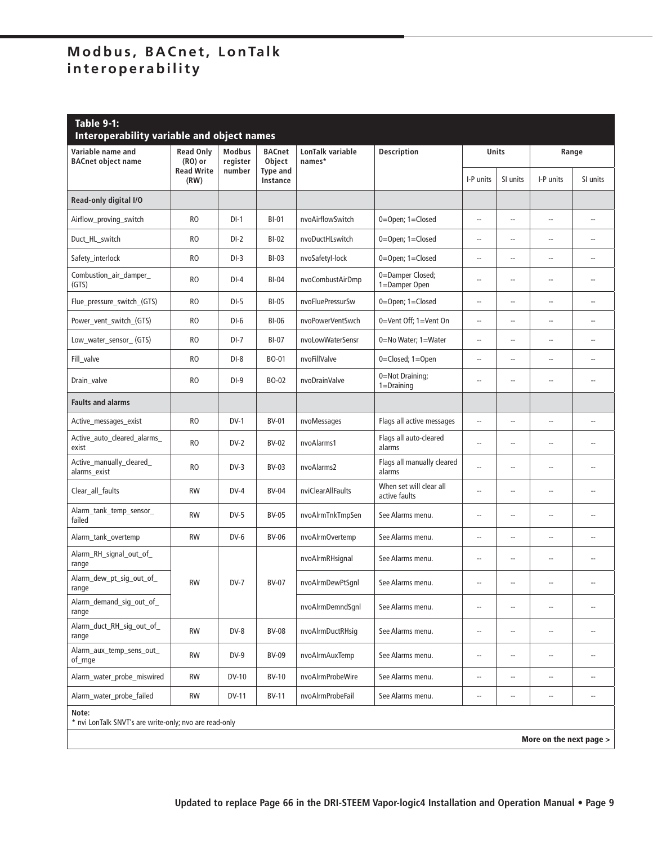| <b>Table 9-1:</b><br><b>Interoperability variable and object names</b> |                                                                                   |                           |                             |                            |                                          |                          |                          |                          |                          |  |
|------------------------------------------------------------------------|-----------------------------------------------------------------------------------|---------------------------|-----------------------------|----------------------------|------------------------------------------|--------------------------|--------------------------|--------------------------|--------------------------|--|
| Variable name and<br><b>BACnet object name</b>                         | <b>Read Only</b><br>$(RO)$ or                                                     | <b>Modbus</b><br>register | <b>BACnet</b><br>Object     | LonTalk variable<br>names* | <b>Description</b>                       | Units                    |                          |                          | Range                    |  |
|                                                                        | <b>Read Write</b><br>(RW)                                                         | number                    | <b>Type and</b><br>Instance |                            |                                          | I-P units                | SI units                 | I-P units                | SI units                 |  |
| Read-only digital I/O                                                  |                                                                                   |                           |                             |                            |                                          |                          |                          |                          |                          |  |
| Airflow_proving_switch                                                 | <b>RO</b>                                                                         | $DI-1$                    | <b>BI-01</b>                | nvoAirflowSwitch           | 0=Open; 1=Closed                         | $\overline{\phantom{a}}$ | $\overline{\phantom{a}}$ | --                       | $\overline{\phantom{a}}$ |  |
| Duct_HL_switch                                                         | <b>RO</b>                                                                         | $DI-2$                    | <b>BI-02</b>                | nvoDuctHLswitch            | 0=Open; 1=Closed                         | $\overline{\phantom{a}}$ | $\overline{a}$           | --                       | $\overline{\phantom{a}}$ |  |
| Safety_interlock                                                       | <b>RO</b>                                                                         | $DI-3$                    | <b>BI-03</b>                | nvoSafetyl-lock            | 0=Open; 1=Closed                         | $\overline{\phantom{a}}$ | $\overline{a}$           | --                       | $\overline{\phantom{a}}$ |  |
| Combustion_air_damper_<br>(GTS)                                        | <b>RO</b>                                                                         | $DI-4$                    | $BI-04$                     | nvoCombustAirDmp           | 0=Damper Closed;<br>1=Damper Open        | $\overline{a}$           | $\overline{a}$           | $\overline{a}$           | --                       |  |
| Flue_pressure_switch_(GTS)                                             | <b>RO</b>                                                                         | $DI-5$                    | <b>BI-05</b>                | nvoFluePressurSw           | 0=Open; 1=Closed                         | $\overline{\phantom{a}}$ | $\overline{a}$           | --                       | $\overline{a}$           |  |
| Power vent switch (GTS)                                                | <b>RO</b>                                                                         | $DI-6$                    | <b>BI-06</b>                | nvoPowerVentSwch           | 0=Vent Off; 1=Vent On                    | $\overline{\phantom{a}}$ | $\overline{a}$           | --                       | $\overline{a}$           |  |
| Low_water_sensor_(GTS)                                                 | <b>RO</b>                                                                         | $DI-7$                    | <b>BI-07</b>                | nvoLowWaterSensr           | 0=No Water; 1=Water                      | $\overline{\phantom{a}}$ | $\overline{a}$           | --                       | --                       |  |
| Fill_valve                                                             | <b>RO</b>                                                                         | $DI-8$                    | <b>BO-01</b>                | nvoFillValve               | 0=Closed; 1=Open                         | $\overline{\phantom{a}}$ | $\overline{\phantom{a}}$ | --                       | $\overline{a}$           |  |
| Drain_valve                                                            | <b>RO</b>                                                                         | $DI-9$                    | BO-02                       | nvoDrainValve              | 0=Not Draining;<br>$1 = Draining$        | $\overline{a}$           | $\overline{\phantom{a}}$ | --                       | $\overline{a}$           |  |
| <b>Faults and alarms</b>                                               |                                                                                   |                           |                             |                            |                                          |                          |                          |                          |                          |  |
| Active_messages_exist                                                  | <b>RO</b>                                                                         | $DV-1$                    | <b>BV-01</b>                | nvoMessages                | Flags all active messages                | $\overline{\phantom{a}}$ | $\overline{a}$           | --                       | $\overline{\phantom{a}}$ |  |
| Active_auto_cleared_alarms_<br>exist                                   | <b>RO</b>                                                                         | $DV-2$                    | <b>BV-02</b>                | nvoAlarms1                 | Flags all auto-cleared<br>alarms         | $\overline{\phantom{a}}$ | $\overline{\phantom{a}}$ | $\overline{a}$           | $\overline{a}$           |  |
| Active_manually_cleared_<br>alarms_exist                               | <b>RO</b>                                                                         | $DV-3$                    | BV-03                       | nvoAlarms2                 | Flags all manually cleared<br>alarms     | $\sim$                   | $\overline{a}$           | $\overline{a}$           | $\overline{a}$           |  |
| Clear_all_faults                                                       | <b>RW</b>                                                                         | $DV-4$                    | <b>BV-04</b>                | nviClearAllFaults          | When set will clear all<br>active faults | --                       | $\overline{\phantom{a}}$ | $\overline{a}$           | $\overline{a}$           |  |
| Alarm_tank_temp_sensor_<br>failed                                      | <b>RW</b>                                                                         | $DV-5$                    | <b>BV-05</b>                | nvoAlrmTnkTmpSen           | See Alarms menu.                         | $\overline{\phantom{a}}$ | --                       | --                       | ۰.                       |  |
| Alarm_tank_overtemp                                                    | <b>RW</b>                                                                         | $DV-6$                    | <b>BV-06</b>                | nvoAlrmOvertemp            | See Alarms menu.                         | $-$                      | $\overline{\phantom{a}}$ | $\overline{a}$           | $\overline{\phantom{a}}$ |  |
| Alarm_RH_signal_out_of_<br>range                                       |                                                                                   |                           |                             | nvoAlrmRHsignal            | See Alarms menu.                         | $\overline{a}$           | $\overline{\phantom{a}}$ | $\overline{a}$           | $\overline{a}$           |  |
| Alarm_dew_pt_sig_out_of_<br>range                                      | <b>RW</b>                                                                         | $DV-7$                    | <b>BV-07</b>                | nvoAlrmDewPtSqnl           | See Alarms menu.                         | $\overline{a}$           | $\overline{\phantom{a}}$ | $\overline{\phantom{a}}$ | $-$                      |  |
| Alarm_demand_sig_out_of_<br>range                                      |                                                                                   |                           |                             | nvoAlrmDemndSqnl           | See Alarms menu.                         | $\overline{\phantom{a}}$ | $\overline{a}$           | $\overline{a}$           | $\overline{\phantom{a}}$ |  |
| Alarm_duct_RH_sig_out_of_<br>range                                     | <b>RW</b>                                                                         | DV-8                      | <b>BV-08</b>                | nvoAlrmDuctRHsig           | See Alarms menu.                         | $\overline{\phantom{a}}$ | --                       | --                       | $\overline{\phantom{a}}$ |  |
| Alarm_aux_temp_sens_out_<br>of_rnge                                    | RW                                                                                | $DV-9$                    | <b>BV-09</b>                | nvoAlrmAuxTemp             | See Alarms menu.                         | $\overline{\phantom{a}}$ | $\overline{\phantom{a}}$ | --                       | $\overline{\phantom{a}}$ |  |
| Alarm_water_probe_miswired                                             | <b>RW</b>                                                                         | <b>DV-10</b>              | <b>BV-10</b>                | nvoAlrmProbeWire           | See Alarms menu.                         | $\overline{\phantom{a}}$ | $\overline{\phantom{a}}$ | $\overline{\phantom{a}}$ | --                       |  |
| Alarm_water_probe_failed                                               | <b>RW</b>                                                                         | <b>DV-11</b>              | <b>BV-11</b>                | nvoAlrmProbeFail           | See Alarms menu.                         | $\overline{\phantom{a}}$ | --                       | --                       | --                       |  |
| Note:                                                                  | * nvi LonTalk SNVT's are write-only; nvo are read-only<br>More on the next page > |                           |                             |                            |                                          |                          |                          |                          |                          |  |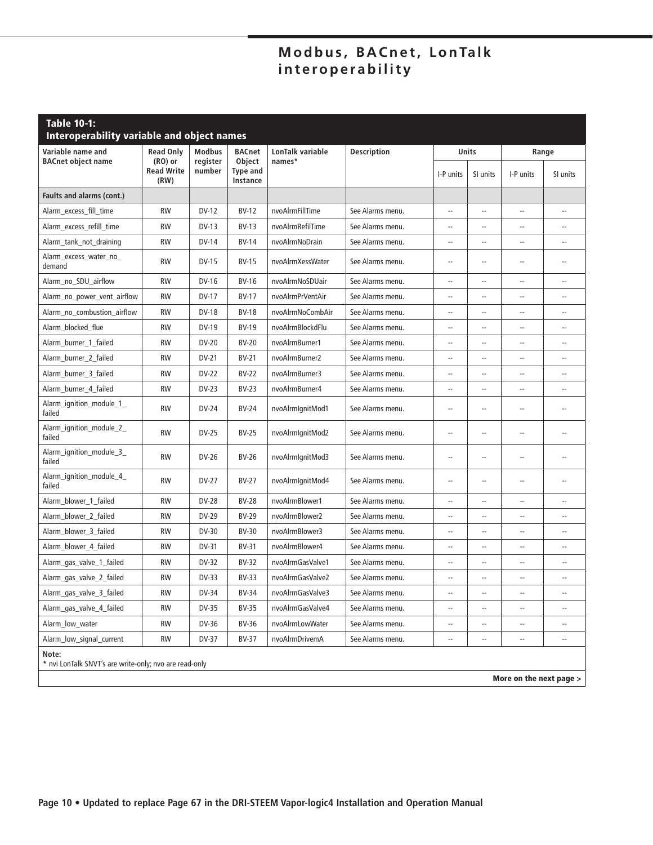| <b>Table 10-1:</b><br>Interoperability variable and object names |                                        |                    |                                       |                  |                    |                          |                          |                          |                          |
|------------------------------------------------------------------|----------------------------------------|--------------------|---------------------------------------|------------------|--------------------|--------------------------|--------------------------|--------------------------|--------------------------|
| Variable name and                                                | <b>Read Only</b>                       | <b>Modbus</b>      | <b>BACnet</b>                         | LonTalk variable | <b>Description</b> | <b>Units</b>             |                          | Range                    |                          |
| <b>BACnet object name</b>                                        | $(RO)$ or<br><b>Read Write</b><br>(RW) | register<br>number | Object<br><b>Type and</b><br>Instance | names*           |                    | I-P units                | SI units                 | I-P units                | SI units                 |
| Faults and alarms (cont.)                                        |                                        |                    |                                       |                  |                    |                          |                          |                          |                          |
| Alarm_excess_fill_time                                           | <b>RW</b>                              | <b>DV-12</b>       | <b>BV-12</b>                          | nvoAlrmFillTime  | See Alarms menu.   | $\overline{\phantom{a}}$ | $\overline{a}$           | --                       | $\overline{a}$           |
| Alarm_excess_refill_time                                         | <b>RW</b>                              | <b>DV-13</b>       | $BV-13$                               | nvoAlrmRefilTime | See Alarms menu.   | $\overline{a}$           | $\overline{a}$           | Ξ.                       |                          |
| Alarm_tank_not_draining                                          | <b>RW</b>                              | <b>DV-14</b>       | <b>BV-14</b>                          | nvoAlrmNoDrain   | See Alarms menu.   | $-$                      | $\overline{\phantom{a}}$ | $\overline{a}$           | $-1$                     |
| Alarm_excess_water_no_<br>demand                                 | <b>RW</b>                              | <b>DV-15</b>       | <b>BV-15</b>                          | nvoAlrmXessWater | See Alarms menu.   | $-$                      | $\overline{\phantom{a}}$ | $\overline{a}$           | $\overline{a}$           |
| Alarm no SDU airflow                                             | <b>RW</b>                              | DV-16              | <b>BV-16</b>                          | nvoAlrmNoSDUair  | See Alarms menu.   | $\overline{\phantom{a}}$ | $\overline{a}$           | --                       | $\overline{\phantom{a}}$ |
| Alarm_no_power_vent_airflow                                      | <b>RW</b>                              | <b>DV-17</b>       | <b>BV-17</b>                          | nvoAlrmPrVentAir | See Alarms menu.   | --                       | $\overline{\phantom{a}}$ | $\overline{a}$           |                          |
| Alarm_no_combustion_airflow                                      | <b>RW</b>                              | <b>DV-18</b>       | <b>BV-18</b>                          | nvoAlrmNoCombAir | See Alarms menu.   | $\overline{a}$           | $\overline{a}$           | $\overline{a}$           | $-$                      |
| Alarm blocked flue                                               | <b>RW</b>                              | DV-19              | <b>BV-19</b>                          | nvoAlrmBlockdFlu | See Alarms menu.   | $\overline{\phantom{a}}$ | $\overline{\phantom{a}}$ | --                       | Ξ.                       |
| Alarm_burner_1_failed                                            | <b>RW</b>                              | <b>DV-20</b>       | <b>BV-20</b>                          | nvoAlrmBurner1   | See Alarms menu.   | $\overline{\phantom{a}}$ | $-$                      | $-1$                     | $\overline{a}$           |
| Alarm_burner_2_failed                                            | <b>RW</b>                              | <b>DV-21</b>       | <b>BV-21</b>                          | nvoAlrmBurner2   | See Alarms menu.   | --                       | $-$                      | Ξ.                       | $\overline{a}$           |
| Alarm_burner_3_failed                                            | <b>RW</b>                              | <b>DV-22</b>       | BV-22                                 | nvoAlrmBurner3   | See Alarms menu.   | $\overline{a}$           | $-$                      | --                       | $\overline{a}$           |
| Alarm_burner_4_failed                                            | <b>RW</b>                              | <b>DV-23</b>       | <b>BV-23</b>                          | nvoAlrmBurner4   | See Alarms menu.   | $\overline{\phantom{a}}$ | $\overline{\phantom{a}}$ | --                       | $\overline{a}$           |
| Alarm_ignition_module_1_<br>failed                               | <b>RW</b>                              | <b>DV-24</b>       | <b>BV-24</b>                          | nvoAlrmIqnitMod1 | See Alarms menu.   | $\overline{a}$           | $\overline{a}$           | --                       | $-$                      |
| Alarm_ignition_module_2_<br>failed                               | <b>RW</b>                              | <b>DV-25</b>       | <b>BV-25</b>                          | nvoAlrmIqnitMod2 | See Alarms menu.   | $\overline{a}$           | $\overline{a}$           | $\overline{a}$           | $\overline{a}$           |
| Alarm_ignition_module_3_<br>failed                               | <b>RW</b>                              | <b>DV-26</b>       | <b>BV-26</b>                          | nvoAlrmIgnitMod3 | See Alarms menu.   | $\overline{a}$           | $-$                      | $\overline{a}$           | $\overline{a}$           |
| Alarm_ignition_module_4_<br>failed                               | <b>RW</b>                              | <b>DV-27</b>       | <b>BV-27</b>                          | nvoAlrmIqnitMod4 | See Alarms menu.   | $\overline{a}$           | $\overline{a}$           | --                       | $\overline{a}$           |
| Alarm_blower_1_failed                                            | <b>RW</b>                              | <b>DV-28</b>       | <b>BV-28</b>                          | nvoAlrmBlower1   | See Alarms menu.   | $\overline{\phantom{a}}$ | $\overline{\phantom{a}}$ | --                       | $\overline{a}$           |
| Alarm_blower_2_failed                                            | <b>RW</b>                              | <b>DV-29</b>       | <b>BV-29</b>                          | nvoAlrmBlower2   | See Alarms menu.   | $\overline{a}$           | $\overline{a}$           | Ξ.                       | $\overline{a}$           |
| Alarm_blower_3_failed                                            | <b>RW</b>                              | <b>DV-30</b>       | <b>BV-30</b>                          | nvoAlrmBlower3   | See Alarms menu.   | Ξ.                       | $\overline{a}$           | Ξ.                       |                          |
| Alarm_blower_4_failed                                            | <b>RW</b>                              | <b>DV-31</b>       | <b>BV-31</b>                          | nvoAlrmBlower4   | See Alarms menu.   | $\overline{\phantom{a}}$ | $\overline{\phantom{a}}$ | --                       | $\overline{\phantom{a}}$ |
| Alarm_gas_valve_1_failed                                         | <b>RW</b>                              | <b>DV-32</b>       | <b>BV-32</b>                          | nvoAlrmGasValve1 | See Alarms menu.   | $\overline{\phantom{a}}$ | $\overline{\phantom{a}}$ | $\overline{a}$           | $\overline{a}$           |
| Alarm_gas_valve_2_failed                                         | <b>RW</b>                              | <b>DV-33</b>       | <b>BV-33</b>                          | nvoAlrmGasValve2 | See Alarms menu.   | $\overline{\phantom{a}}$ | $\overline{\phantom{a}}$ | $\overline{\phantom{a}}$ | $\qquad \qquad -$        |
| Alarm gas valve 3 failed                                         | <b>RW</b>                              | <b>DV-34</b>       | <b>BV-34</b>                          | nvoAlrmGasValve3 | See Alarms menu.   | $\overline{\phantom{a}}$ | $\overline{\phantom{a}}$ | $\overline{a}$           | Ξ.                       |
| Alarm_gas_valve_4_failed                                         | <b>RW</b>                              | DV-35              | <b>BV-35</b>                          | nvoAlrmGasValve4 | See Alarms menu.   | $\overline{a}$           | $\sim$                   | $\overline{\phantom{a}}$ | $\overline{a}$           |
| Alarm low water                                                  | <b>RW</b>                              | DV-36              | <b>BV-36</b>                          | nvoAlrmLowWater  | See Alarms menu.   | $\overline{\phantom{a}}$ | $\overline{\phantom{a}}$ | $\overline{\phantom{a}}$ | --                       |
| Alarm_low_signal_current                                         | <b>RW</b>                              | <b>DV-37</b>       | <b>BV-37</b>                          | nvoAlrmDrivemA   | See Alarms menu.   | Ξ.                       | $\overline{\phantom{a}}$ | $\overline{a}$           | $\overline{a}$           |
|                                                                  |                                        |                    |                                       |                  |                    |                          |                          |                          |                          |

**Note:** 

\* nvi LonTalk SNVT's are write-only; nvo are read-only

**More on the next page >**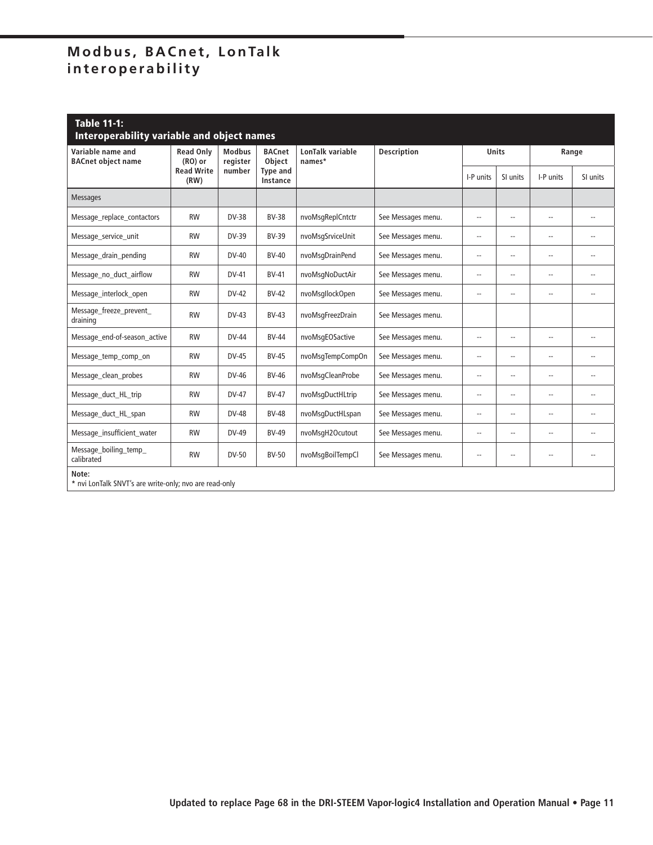| <b>Table 11-1:</b><br><b>Interoperability variable and object names</b> |                               |                           |                             |                            |                    |                          |                          |                |                          |  |
|-------------------------------------------------------------------------|-------------------------------|---------------------------|-----------------------------|----------------------------|--------------------|--------------------------|--------------------------|----------------|--------------------------|--|
| Variable name and<br><b>BACnet object name</b>                          | <b>Read Only</b><br>$(RO)$ or | <b>Modbus</b><br>register | <b>BACnet</b><br>Object     | LonTalk variable<br>names* | <b>Description</b> | <b>Units</b>             |                          | Range          |                          |  |
|                                                                         | <b>Read Write</b><br>(RW)     | number                    | <b>Type and</b><br>Instance |                            |                    | I-P units                | SI units                 | I-P units      | SI units                 |  |
| <b>Messages</b>                                                         |                               |                           |                             |                            |                    |                          |                          |                |                          |  |
| Message replace contactors                                              | <b>RW</b>                     | DV-38                     | <b>BV-38</b>                | nvoMsgReplCntctr           | See Messages menu. | $\overline{\phantom{a}}$ | $\overline{\phantom{a}}$ | $\overline{a}$ | $\overline{\phantom{a}}$ |  |
| Message_service_unit                                                    | <b>RW</b>                     | DV-39                     | <b>BV-39</b>                | nvoMsgSrviceUnit           | See Messages menu. | $\overline{\phantom{a}}$ | $\overline{a}$           | $\overline{a}$ | $-$                      |  |
| Message_drain_pending                                                   | <b>RW</b>                     | $DV-40$                   | <b>BV-40</b>                | nvoMsqDrainPend            | See Messages menu. | $\overline{\phantom{a}}$ | $\overline{\phantom{a}}$ | $\overline{a}$ | $\overline{a}$           |  |
| Message_no_duct_airflow                                                 | <b>RW</b>                     | DV-41                     | <b>BV-41</b>                | nvoMsqNoDuctAir            | See Messages menu. | $\overline{\phantom{a}}$ | $\overline{a}$           | $\overline{a}$ | $\overline{\phantom{0}}$ |  |
| Message interlock open                                                  | <b>RW</b>                     | DV-42                     | <b>BV-42</b>                | nvoMsgllockOpen            | See Messages menu. | $\overline{\phantom{a}}$ | $\overline{a}$           | $\overline{a}$ | $\overline{\phantom{a}}$ |  |
| Message_freeze_prevent_<br>draining                                     | <b>RW</b>                     | DV-43                     | $BV-43$                     | nvoMsqFreezDrain           | See Messages menu. |                          |                          |                |                          |  |
| Message_end-of-season_active                                            | <b>RW</b>                     | <b>DV-44</b>              | <b>BV-44</b>                | nvoMsqEOSactive            | See Messages menu. | $\overline{\phantom{a}}$ | $\overline{a}$           | $\overline{a}$ | $-$                      |  |
| Message_temp_comp_on                                                    | <b>RW</b>                     | <b>DV-45</b>              | <b>BV-45</b>                | nvoMsqTempCompOn           | See Messages menu. | $\overline{\phantom{a}}$ | $\overline{a}$           | $\overline{a}$ | $\overline{\phantom{a}}$ |  |
| Message clean probes                                                    | <b>RW</b>                     | DV-46                     | <b>BV-46</b>                | nvoMsqCleanProbe           | See Messages menu. | $\overline{\phantom{a}}$ | $\overline{a}$           | $-1$           | $\overline{\phantom{a}}$ |  |
| Message_duct_HL_trip                                                    | <b>RW</b>                     | DV-47                     | <b>BV-47</b>                | nvoMsqDuctHLtrip           | See Messages menu. | $\overline{\phantom{a}}$ | $\overline{\phantom{a}}$ | --             | --                       |  |
| Message_duct_HL_span                                                    | <b>RW</b>                     | <b>DV-48</b>              | <b>BV-48</b>                | nvoMsqDuctHLspan           | See Messages menu. | $\overline{\phantom{a}}$ | $\overline{a}$           | $\overline{a}$ | $\overline{a}$           |  |
| Message_insufficient_water                                              | <b>RW</b>                     | DV-49                     | <b>BV-49</b>                | nvoMsqH2Ocutout            | See Messages menu. | $\overline{\phantom{a}}$ | $\overline{a}$           | $\overline{a}$ | $\overline{\phantom{a}}$ |  |
| Message_boiling_temp_<br>calibrated                                     | <b>RW</b>                     | DV-50                     | <b>BV-50</b>                | nvoMsqBoilTempCl           | See Messages menu. | $\overline{\phantom{a}}$ | $\overline{\phantom{a}}$ | --             | --                       |  |
| Note:<br>* nvi LonTalk SNVT's are write-only; nvo are read-only         |                               |                           |                             |                            |                    |                          |                          |                |                          |  |